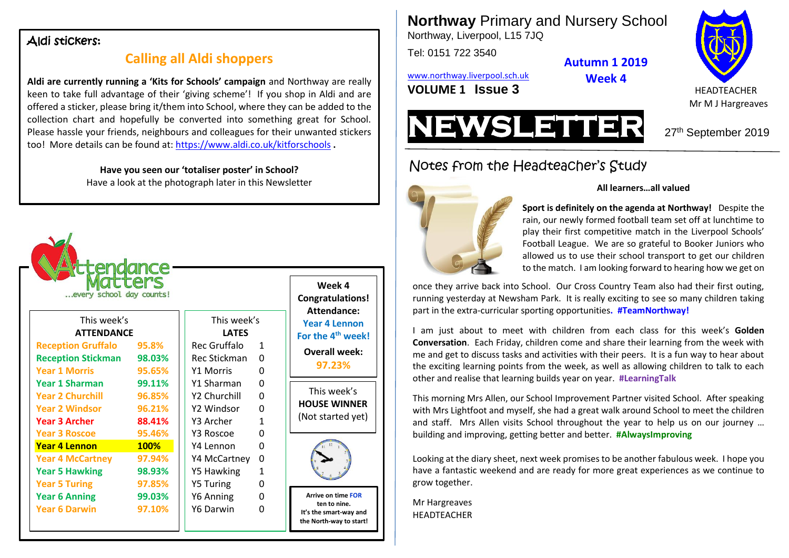#### Aldi stickers:

## **Calling all Aldi shoppers**

**Aldi are currently running a 'Kits for Schools' campaign** and Northway are really keen to take full advantage of their 'giving scheme'! If you shop in Aldi and are offered a sticker, please bring it/them into School, where they can be added to the collection chart and hopefully be converted into something great for School. Please hassle your friends, neighbours and colleagues for their unwanted stickers too! More details can be found at:<https://www.aldi.co.uk/kitforschools> **.**

> **Have you seen our 'totaliser poster' in School?** Have a look at the photograph later in this Newsletter

| Week 4<br><b>Congratulations!</b>                                 |              |                          | rance<br>ters     | :end<br>every school day counts! |  |
|-------------------------------------------------------------------|--------------|--------------------------|-------------------|----------------------------------|--|
| Attendance:<br><b>Year 4 Lennon</b>                               |              | This week's              | This week's       |                                  |  |
| For the 4 <sup>th</sup> week!                                     |              | <b>LATES</b>             | <b>ATTENDANCE</b> |                                  |  |
| <b>Overall week:</b>                                              | $\mathbf{1}$ | Rec Gruffalo             | 95.8%             | <b>Reception Gruffalo</b>        |  |
| 97.23%                                                            | $\Omega$     | Rec Stickman             | 98.03%            | <b>Reception Stickman</b>        |  |
|                                                                   | 0            | Y1 Morris                | 95.65%            | <b>Year 1 Morris</b>             |  |
|                                                                   | 0            | Y1 Sharman               | 99.11%            | <b>Year 1 Sharman</b>            |  |
| This week's                                                       | $\Omega$     | Y <sub>2</sub> Churchill | 96.85%            | <b>Year 2 Churchill</b>          |  |
| <b>HOUSE WINNER</b>                                               | 0            | Y2 Windsor               | 96.21%            | <b>Year 2 Windsor</b>            |  |
| (Not started yet)                                                 | 1            | Y3 Archer                | 88.41%            | <b>Year 3 Archer</b>             |  |
|                                                                   | $\Omega$     | Y3 Roscoe                | 95.46%            | <b>Year 3 Roscoe</b>             |  |
|                                                                   | $\Omega$     | Y4 Lennon                | <b>100%</b>       | <b>Year 4 Lennon</b>             |  |
|                                                                   | 0            | Y4 McCartney             | 97.94%            | <b>Year 4 McCartney</b>          |  |
|                                                                   | 1            | Y5 Hawking               | 98.93%            | <b>Year 5 Hawking</b>            |  |
|                                                                   | 0            | <b>Y5 Turing</b>         | 97.85%            | <b>Year 5 Turing</b>             |  |
| <b>Arrive on time FOR</b>                                         | 0            | Y6 Anning                | 99.03%            | <b>Year 6 Anning</b>             |  |
| ten to nine.<br>It's the smart-way and<br>the North-way to start! | O            | Y6 Darwin                | 97.10%            | <b>Year 6 Darwin</b>             |  |

**Northway** Primary and Nursery School

Northway, Liverpool, L15 7JQ

Tel: 0151 722 3540

**Autumn 1 2019**

**Week 4**

[www.northway.liverpool.sch.uk](http://www.northway.liverpool.sch.uk/)

**VOLUME 1 ISSUE 3** HEADTEACHER



Mr M J Hargreaves



# Notes from the Headteacher's Study

**Sport is definitely on the agenda at Northway!** Despite the rain, our newly formed football team set off at lunchtime to play their first competitive match in the Liverpool Schools'

**All learners…all valued**

Football League. We are so grateful to Booker Juniors who allowed us to use their school transport to get our children to the match. I am looking forward to hearing how we get on

once they arrive back into School. Our Cross Country Team also had their first outing, running yesterday at Newsham Park. It is really exciting to see so many children taking part in the extra-curricular sporting opportunities**. #TeamNorthway!**

I am just about to meet with children from each class for this week's **Golden Conversation**. Each Friday, children come and share their learning from the week with me and get to discuss tasks and activities with their peers. It is a fun way to hear about the exciting learning points from the week, as well as allowing children to talk to each other and realise that learning builds year on year. **#LearningTalk**

This morning Mrs Allen, our School Improvement Partner visited School. After speaking with Mrs Lightfoot and myself, she had a great walk around School to meet the children and staff. Mrs Allen visits School throughout the year to help us on our journey … building and improving, getting better and better. **#AlwaysImproving**

Looking at the diary sheet, next week promises to be another fabulous week. I hope you have a fantastic weekend and are ready for more great experiences as we continue to grow together.

Mr Hargreaves **HEADTFACHER**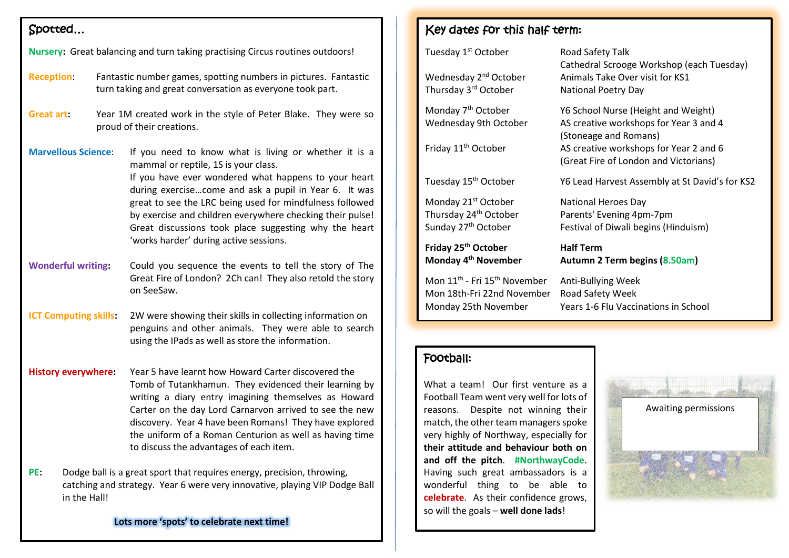## Spotted…

| Nursery: Great balancing and turn taking practising Circus routines outdoors!                                                                                               |                                                                                                                              |                                                                                                                                                                                                                                                                                                                                                                                                                                            |  |  |  |  |
|-----------------------------------------------------------------------------------------------------------------------------------------------------------------------------|------------------------------------------------------------------------------------------------------------------------------|--------------------------------------------------------------------------------------------------------------------------------------------------------------------------------------------------------------------------------------------------------------------------------------------------------------------------------------------------------------------------------------------------------------------------------------------|--|--|--|--|
| <b>Reception:</b>                                                                                                                                                           | Fantastic number games, spotting numbers in pictures. Fantastic<br>turn taking and great conversation as everyone took part. |                                                                                                                                                                                                                                                                                                                                                                                                                                            |  |  |  |  |
| <b>Great art:</b>                                                                                                                                                           |                                                                                                                              | Year 1M created work in the style of Peter Blake. They were so<br>proud of their creations.                                                                                                                                                                                                                                                                                                                                                |  |  |  |  |
| <b>Marvellous Science:</b>                                                                                                                                                  |                                                                                                                              | If you need to know what is living or whether it is a<br>mammal or reptile, 1S is your class.<br>If you have ever wondered what happens to your heart<br>during exercisecome and ask a pupil in Year 6. It was<br>great to see the LRC being used for mindfulness followed<br>by exercise and children everywhere checking their pulse!<br>Great discussions took place suggesting why the heart<br>'works harder' during active sessions. |  |  |  |  |
| <b>Wonderful writing:</b>                                                                                                                                                   |                                                                                                                              | Could you sequence the events to tell the story of The<br>Great Fire of London? 2Ch can! They also retold the story<br>on SeeSaw.                                                                                                                                                                                                                                                                                                          |  |  |  |  |
| <b>ICT Computing skills:</b>                                                                                                                                                |                                                                                                                              | 2W were showing their skills in collecting information on<br>penguins and other animals. They were able to search<br>using the IPads as well as store the information.                                                                                                                                                                                                                                                                     |  |  |  |  |
| <b>History everywhere:</b>                                                                                                                                                  |                                                                                                                              | Year 5 have learnt how Howard Carter discovered the<br>Tomb of Tutankhamun. They evidenced their learning by<br>writing a diary entry imagining themselves as Howard<br>Carter on the day Lord Carnarvon arrived to see the new<br>discovery. Year 4 have been Romans! They have explored<br>the uniform of a Roman Centurion as well as having time<br>to discuss the advantages of each item.                                            |  |  |  |  |
| Dodge ball is a great sport that requires energy, precision, throwing,<br>PE:<br>catching and strategy. Year 6 were very innovative, playing VIP Dodge Ball<br>in the Hall! |                                                                                                                              |                                                                                                                                                                                                                                                                                                                                                                                                                                            |  |  |  |  |

**Lots more 'spots' to celebrate next time!**

#### Key dates for this half term:

| Tuesday 1 <sup>st</sup> October<br>Wednesday 2 <sup>nd</sup> October<br>Thursday 3 <sup>rd</sup> October   | Road Safety Talk<br>Cathedral Scrooge Workshop (each Tuesday)<br>Animals Take Over visit for KS1<br><b>National Poetry Day</b>                                                            |  |
|------------------------------------------------------------------------------------------------------------|-------------------------------------------------------------------------------------------------------------------------------------------------------------------------------------------|--|
| Monday 7 <sup>th</sup> October<br>Wednesday 9th October<br>Friday 11 <sup>th</sup> October                 | Y6 School Nurse (Height and Weight)<br>AS creative workshops for Year 3 and 4<br>(Stoneage and Romans)<br>AS creative workshops for Year 2 and 6<br>(Great Fire of London and Victorians) |  |
| Tuesday 15 <sup>th</sup> October                                                                           | Y6 Lead Harvest Assembly at St David's for KS2                                                                                                                                            |  |
| Monday 21 <sup>st</sup> October<br>Thursday 24 <sup>th</sup> October<br>Sunday 27 <sup>th</sup> October    | <b>National Heroes Day</b><br>Parents' Evening 4pm-7pm<br>Festival of Diwali begins (Hinduism)                                                                                            |  |
| Friday 25 <sup>th</sup> October<br>Monday 4 <sup>th</sup> November                                         | <b>Half Term</b><br>Autumn 2 Term begins (8.50am)                                                                                                                                         |  |
| Mon 11 <sup>th</sup> - Fri 15 <sup>th</sup> November<br>Mon 18th-Fri 22nd November<br>Monday 25th November | Anti-Bullying Week<br>Road Safety Week<br><b>Years 1-6 Flu Vaccinations in School</b>                                                                                                     |  |
|                                                                                                            |                                                                                                                                                                                           |  |
| Football:                                                                                                  |                                                                                                                                                                                           |  |
| What a team! Our first venture as a<br>Eoothall Team went yery well for lots of                            |                                                                                                                                                                                           |  |

Football Team went very well reasons. Despite not winning their match, the other team managers spoke very highly of Northway, especially for **their attitude and behaviour both on and off the pitch**. **#NorthwayCode**. Having such great ambassadors is a wonderful thing to be able to **celebrate**. As their confidence grows, so will the goals – **well done lads**!